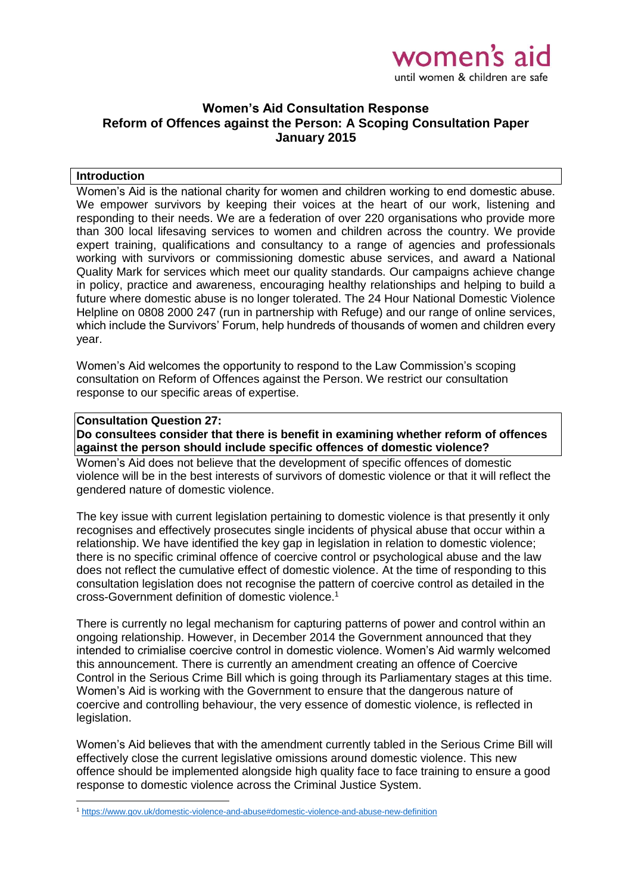

## **Women's Aid Consultation Response Reform of Offences against the Person: A Scoping Consultation Paper January 2015**

### **Introduction**

Women's Aid is the national charity for women and children working to end domestic abuse. We empower survivors by keeping their voices at the heart of our work, listening and responding to their needs. We are a federation of over 220 organisations who provide more than 300 local lifesaving services to women and children across the country. We provide expert training, qualifications and consultancy to a range of agencies and professionals working with survivors or commissioning domestic abuse services, and award a National Quality Mark for services which meet our quality standards. Our campaigns achieve change in policy, practice and awareness, encouraging healthy relationships and helping to build a future where domestic abuse is no longer tolerated. The 24 Hour National Domestic Violence Helpline on 0808 2000 247 (run in partnership with Refuge) and our range of online services, which include the Survivors' Forum, help hundreds of thousands of women and children every year.

Women's Aid welcomes the opportunity to respond to the Law Commission's scoping consultation on Reform of Offences against the Person. We restrict our consultation response to our specific areas of expertise.

#### **Consultation Question 27:**

**.** 

**Do consultees consider that there is benefit in examining whether reform of offences against the person should include specific offences of domestic violence?**

Women's Aid does not believe that the development of specific offences of domestic violence will be in the best interests of survivors of domestic violence or that it will reflect the gendered nature of domestic violence.

The key issue with current legislation pertaining to domestic violence is that presently it only recognises and effectively prosecutes single incidents of physical abuse that occur within a relationship. We have identified the key gap in legislation in relation to domestic violence; there is no specific criminal offence of coercive control or psychological abuse and the law does not reflect the cumulative effect of domestic violence. At the time of responding to this consultation legislation does not recognise the pattern of coercive control as detailed in the cross-Government definition of domestic violence.<sup>1</sup>

There is currently no legal mechanism for capturing patterns of power and control within an ongoing relationship. However, in December 2014 the Government announced that they intended to crimialise coercive control in domestic violence. Women's Aid warmly welcomed this announcement. There is currently an amendment creating an offence of Coercive Control in the Serious Crime Bill which is going through its Parliamentary stages at this time. Women's Aid is working with the Government to ensure that the dangerous nature of coercive and controlling behaviour, the very essence of domestic violence, is reflected in legislation.

Women's Aid believes that with the amendment currently tabled in the Serious Crime Bill will effectively close the current legislative omissions around domestic violence. This new offence should be implemented alongside high quality face to face training to ensure a good response to domestic violence across the Criminal Justice System.

<sup>1</sup> <https://www.gov.uk/domestic-violence-and-abuse#domestic-violence-and-abuse-new-definition>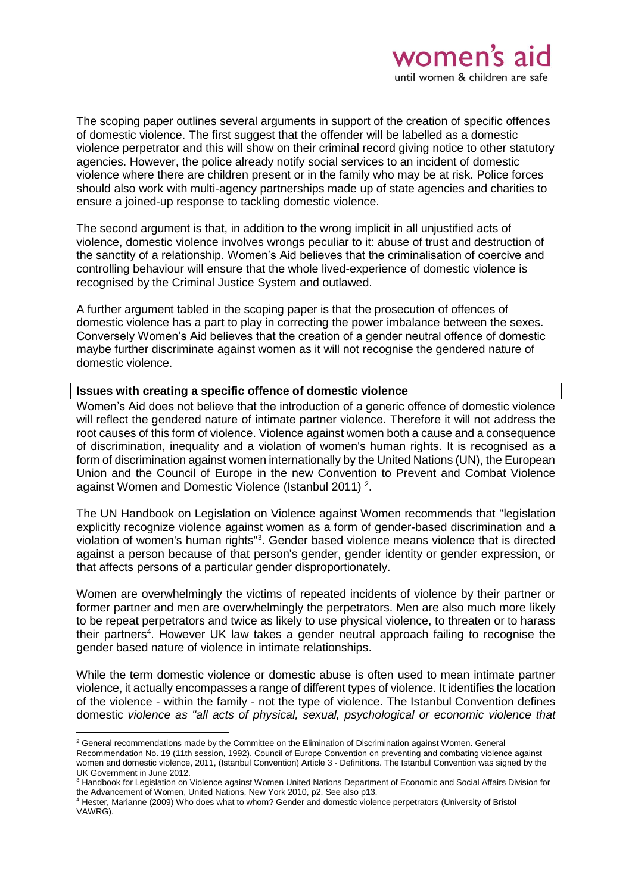The scoping paper outlines several arguments in support of the creation of specific offences of domestic violence. The first suggest that the offender will be labelled as a domestic violence perpetrator and this will show on their criminal record giving notice to other statutory agencies. However, the police already notify social services to an incident of domestic violence where there are children present or in the family who may be at risk. Police forces should also work with multi-agency partnerships made up of state agencies and charities to ensure a joined-up response to tackling domestic violence.

The second argument is that, in addition to the wrong implicit in all unjustified acts of violence, domestic violence involves wrongs peculiar to it: abuse of trust and destruction of the sanctity of a relationship. Women's Aid believes that the criminalisation of coercive and controlling behaviour will ensure that the whole lived-experience of domestic violence is recognised by the Criminal Justice System and outlawed.

A further argument tabled in the scoping paper is that the prosecution of offences of domestic violence has a part to play in correcting the power imbalance between the sexes. Conversely Women's Aid believes that the creation of a gender neutral offence of domestic maybe further discriminate against women as it will not recognise the gendered nature of domestic violence.

## **Issues with creating a specific offence of domestic violence**

1

Women's Aid does not believe that the introduction of a generic offence of domestic violence will reflect the gendered nature of intimate partner violence. Therefore it will not address the root causes of this form of violence. Violence against women both a cause and a consequence of discrimination, inequality and a violation of women's human rights. It is recognised as a form of discrimination against women internationally by the United Nations (UN), the European Union and the Council of Europe in the new Convention to Prevent and Combat Violence against Women and Domestic Violence (Istanbul 2011)<sup>2</sup>.

The UN Handbook on Legislation on Violence against Women recommends that "legislation explicitly recognize violence against women as a form of gender-based discrimination and a violation of women's human rights"<sup>3</sup>. Gender based violence means violence that is directed against a person because of that person's gender, gender identity or gender expression, or that affects persons of a particular gender disproportionately.

Women are overwhelmingly the victims of repeated incidents of violence by their partner or former partner and men are overwhelmingly the perpetrators. Men are also much more likely to be repeat perpetrators and twice as likely to use physical violence, to threaten or to harass their partners<sup>4</sup>. However UK law takes a gender neutral approach failing to recognise the gender based nature of violence in intimate relationships.

While the term domestic violence or domestic abuse is often used to mean intimate partner violence, it actually encompasses a range of different types of violence. It identifies the location of the violence - within the family - not the type of violence. The Istanbul Convention defines domestic *violence as "all acts of physical, sexual, psychological or economic violence that* 

<sup>&</sup>lt;sup>2</sup> General recommendations made by the Committee on the Elimination of Discrimination against Women. General Recommendation No. 19 (11th session, 1992). Council of Europe Convention on preventing and combating violence against women and domestic violence, 2011, (Istanbul Convention) Article 3 - Definitions. The Istanbul Convention was signed by the UK Government in June 2012.

<sup>&</sup>lt;sup>3</sup> Handbook for Legislation on Violence against Women United Nations Department of Economic and Social Affairs Division for the Advancement of Women, United Nations, New York 2010, p2. See also p13.

<sup>4</sup> Hester, Marianne (2009) Who does what to whom? Gender and domestic violence perpetrators (University of Bristol VAWRG).